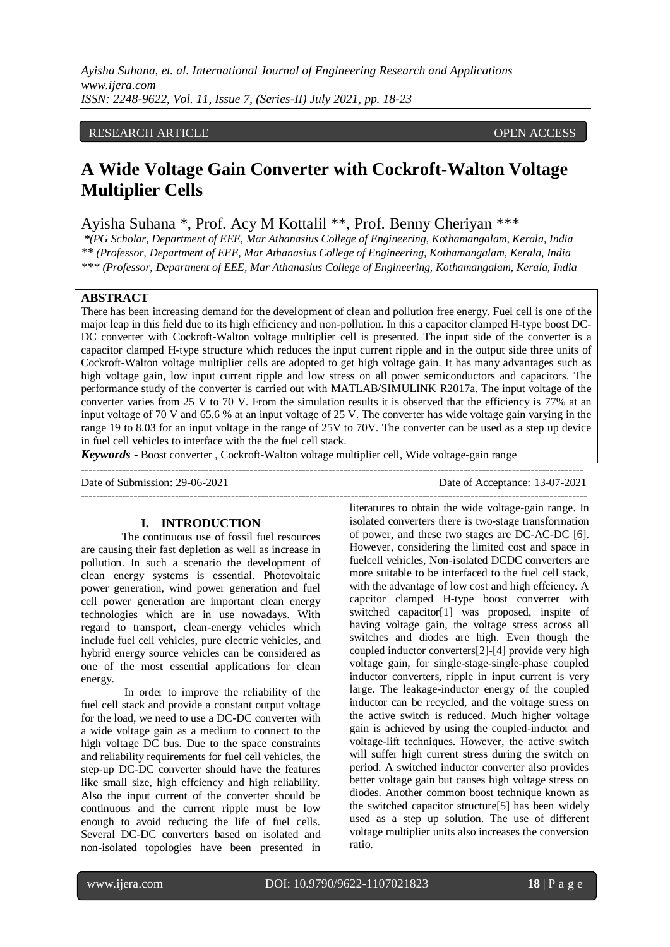*Ayisha Suhana, et. al. International Journal of Engineering Research and Applications www.ijera.com ISSN: 2248-9622, Vol. 11, Issue 7, (Series-II) July 2021, pp. 18-23*

## RESEARCH ARTICLE **CONSERVERS** OPEN ACCESS

# **A Wide Voltage Gain Converter with Cockroft-Walton Voltage Multiplier Cells**

Ayisha Suhana \*, Prof. Acy M Kottalil \*\*, Prof. Benny Cheriyan \*\*\*

*\*(PG Scholar, Department of EEE, Mar Athanasius College of Engineering, Kothamangalam, Kerala, India \*\* (Professor, Department of EEE, Mar Athanasius College of Engineering, Kothamangalam, Kerala, India \*\*\* (Professor, Department of EEE, Mar Athanasius College of Engineering, Kothamangalam, Kerala, India*

# **ABSTRACT**

There has been increasing demand for the development of clean and pollution free energy. Fuel cell is one of the major leap in this field due to its high efficiency and non-pollution. In this a capacitor clamped H-type boost DC-DC converter with Cockroft-Walton voltage multiplier cell is presented. The input side of the converter is a capacitor clamped H-type structure which reduces the input current ripple and in the output side three units of Cockroft-Walton voltage multiplier cells are adopted to get high voltage gain. It has many advantages such as high voltage gain, low input current ripple and low stress on all power semiconductors and capacitors. The performance study of the converter is carried out with MATLAB/SIMULINK R2017a. The input voltage of the converter varies from 25 V to 70 V. From the simulation results it is observed that the efficiency is 77% at an input voltage of 70 V and 65.6 % at an input voltage of 25 V. The converter has wide voltage gain varying in the range 19 to 8.03 for an input voltage in the range of 25V to 70V. The converter can be used as a step up device in fuel cell vehicles to interface with the the fuel cell stack.

--------------------------------------------------------------------------------------------------------------------------------------

---------------------------------------------------------------------------------------------------------------------------------------

*Keywords* **-** Boost converter , Cockroft-Walton voltage multiplier cell, Wide voltage-gain range

Date of Submission: 29-06-2021 Date of Acceptance: 13-07-2021

#### **I. INTRODUCTION**

The continuous use of fossil fuel resources are causing their fast depletion as well as increase in pollution. In such a scenario the development of clean energy systems is essential. Photovoltaic power generation, wind power generation and fuel cell power generation are important clean energy technologies which are in use nowadays. With regard to transport, clean-energy vehicles which include fuel cell vehicles, pure electric vehicles, and hybrid energy source vehicles can be considered as one of the most essential applications for clean energy.

In order to improve the reliability of the fuel cell stack and provide a constant output voltage for the load, we need to use a DC-DC converter with a wide voltage gain as a medium to connect to the high voltage DC bus. Due to the space constraints and reliability requirements for fuel cell vehicles, the step-up DC-DC converter should have the features like small size, high effciency and high reliability. Also the input current of the converter should be continuous and the current ripple must be low enough to avoid reducing the life of fuel cells. Several DC-DC converters based on isolated and non-isolated topologies have been presented in

literatures to obtain the wide voltage-gain range. In isolated converters there is two-stage transformation of power, and these two stages are DC-AC-DC [6]. However, considering the limited cost and space in fuelcell vehicles, Non-isolated DCDC converters are more suitable to be interfaced to the fuel cell stack, with the advantage of low cost and high effciency. A capcitor clamped H-type boost converter with switched capacitor[1] was proposed, inspite of having voltage gain, the voltage stress across all switches and diodes are high. Even though the coupled inductor converters[2]-[4] provide very high voltage gain, for single-stage-single-phase coupled inductor converters, ripple in input current is very large. The leakage-inductor energy of the coupled inductor can be recycled, and the voltage stress on the active switch is reduced. Much higher voltage gain is achieved by using the coupled-inductor and voltage-lift techniques. However, the active switch will suffer high current stress during the switch on period. A switched inductor converter also provides better voltage gain but causes high voltage stress on diodes. Another common boost technique known as the switched capacitor structure[5] has been widely used as a step up solution. The use of different voltage multiplier units also increases the conversion ratio.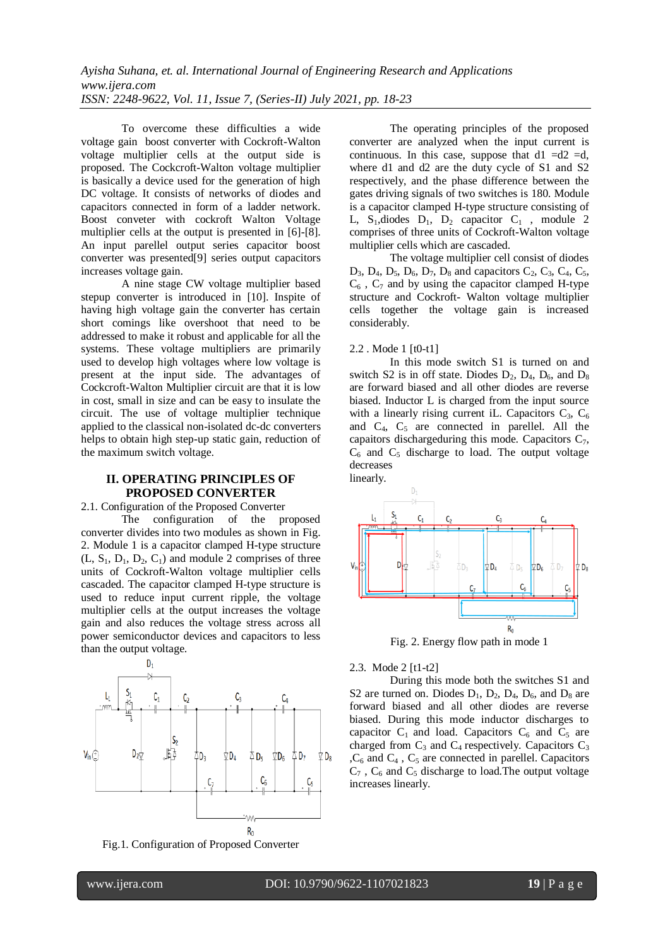To overcome these difficulties a wide voltage gain boost converter with Cockroft-Walton voltage multiplier cells at the output side is proposed. The Cockcroft-Walton voltage multiplier is basically a device used for the generation of high DC voltage. It consists of networks of diodes and capacitors connected in form of a ladder network. Boost conveter with cockroft Walton Voltage multiplier cells at the output is presented in [6]-[8]. An input parellel output series capacitor boost converter was presented[9] series output capacitors increases voltage gain.

A nine stage CW voltage multiplier based stepup converter is introduced in [10]. Inspite of having high voltage gain the converter has certain short comings like overshoot that need to be addressed to make it robust and applicable for all the systems. These voltage multipliers are primarily used to develop high voltages where low voltage is present at the input side. The advantages of Cockcroft-Walton Multiplier circuit are that it is low in cost, small in size and can be easy to insulate the circuit. The use of voltage multiplier technique applied to the classical non-isolated dc-dc converters helps to obtain high step-up static gain, reduction of the maximum switch voltage.

## **II. OPERATING PRINCIPLES OF PROPOSED CONVERTER**

#### 2.1. Configuration of the Proposed Converter

The configuration of the proposed converter divides into two modules as shown in Fig. 2. Module 1 is a capacitor clamped H-type structure  $(L, S_1, D_1, D_2, C_1)$  and module 2 comprises of three units of Cockroft-Walton voltage multiplier cells cascaded. The capacitor clamped H-type structure is used to reduce input current ripple, the voltage multiplier cells at the output increases the voltage gain and also reduces the voltage stress across all power semiconductor devices and capacitors to less than the output voltage.



Fig.1. Configuration of Proposed Converter

The operating principles of the proposed converter are analyzed when the input current is continuous. In this case, suppose that  $d1 = d2 = d$ , where d1 and d2 are the duty cycle of S1 and S2 respectively, and the phase difference between the gates driving signals of two switches is 180. Module is a capacitor clamped H-type structure consisting of L,  $S_1$ , diodes  $D_1$ ,  $D_2$  capacitor  $C_1$ , module 2 comprises of three units of Cockroft-Walton voltage multiplier cells which are cascaded.

The voltage multiplier cell consist of diodes  $D_3$ ,  $D_4$ ,  $D_5$ ,  $D_6$ ,  $D_7$ ,  $D_8$  and capacitors  $C_2$ ,  $C_3$ ,  $C_4$ ,  $C_5$ ,  $C_6$ ,  $C_7$  and by using the capacitor clamped H-type structure and Cockroft- Walton voltage multiplier cells together the voltage gain is increased considerably.

#### 2.2 . Mode 1 [t0-t1]

In this mode switch S1 is turned on and switch S2 is in off state. Diodes  $D_2$ ,  $D_4$ ,  $D_6$ , and  $D_8$ are forward biased and all other diodes are reverse biased. Inductor L is charged from the input source with a linearly rising current iL. Capacitors  $C_3$ ,  $C_6$ and  $C_4$ ,  $C_5$  are connected in parellel. All the capaitors dischargeduring this mode. Capacitors  $C_7$ ,  $C_6$  and  $C_5$  discharge to load. The output voltage decreases



Fig. 2. Energy flow path in mode 1

#### 2.3. Mode 2 [t1-t2]

During this mode both the switches S1 and S2 are turned on. Diodes  $D_1$ ,  $D_2$ ,  $D_4$ ,  $D_6$ , and  $D_8$  are forward biased and all other diodes are reverse biased. During this mode inductor discharges to capacitor  $C_1$  and load. Capacitors  $C_6$  and  $C_5$  are charged from  $C_3$  and  $C_4$  respectively. Capacitors  $C_3$ , $C_6$  and  $C_4$  ,  $C_5$  are connected in parellel. Capacitors  $C_7$ ,  $C_6$  and  $C_5$  discharge to load. The output voltage increases linearly.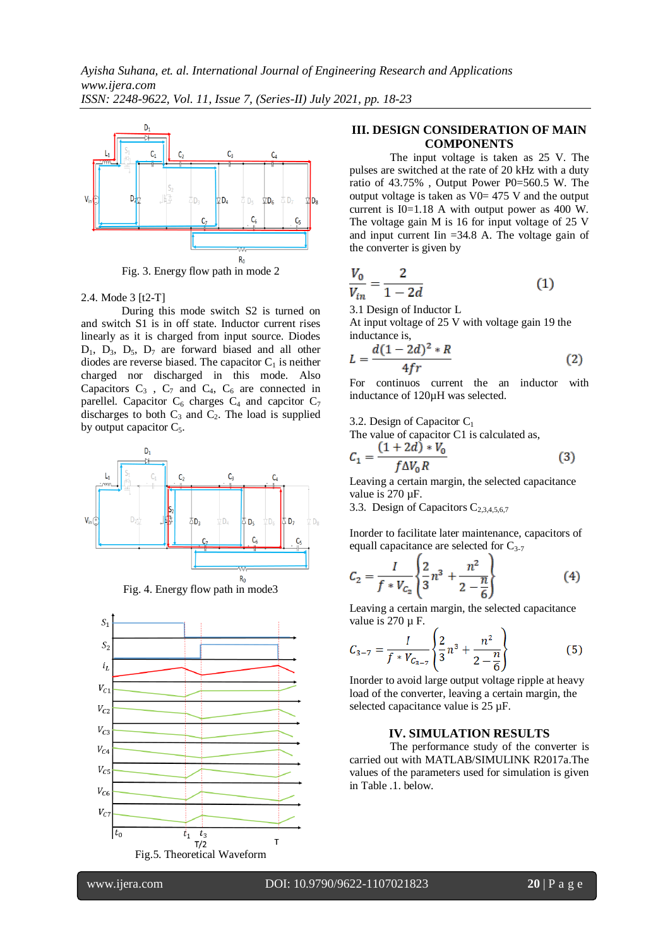

Fig. 3. Energy flow path in mode 2

2.4. Mode 3 [t2-T]

During this mode switch S2 is turned on and switch S1 is in off state. Inductor current rises linearly as it is charged from input source. Diodes  $D_1$ ,  $D_3$ ,  $D_5$ ,  $D_7$  are forward biased and all other diodes are reverse biased. The capacitor  $C_1$  is neither charged nor discharged in this mode. Also Capacitors  $C_3$ ,  $C_7$  and  $C_4$ ,  $C_6$  are connected in parellel. Capacitor  $C_6$  charges  $C_4$  and capcitor  $C_7$ discharges to both  $C_3$  and  $C_2$ . The load is supplied by output capacitor  $C_5$ .







# **III. DESIGN CONSIDERATION OF MAIN COMPONENTS**

The input voltage is taken as 25 V. The pulses are switched at the rate of 20 kHz with a duty ratio of 43.75% , Output Power P0=560.5 W. The output voltage is taken as  $V0= 475$  V and the output current is I0=1.18 A with output power as 400 W. The voltage gain M is 16 for input voltage of 25 V and input current Iin =34.8 A. The voltage gain of the converter is given by

$$
\frac{V_0}{V_{in}} = \frac{2}{1 - 2d} \tag{1}
$$

3.1 Design of Inductor L

At input voltage of 25 V with voltage gain 19 the inductance is,

$$
L = \frac{d(1 - 2d)^2 * R}{4fr} \tag{2}
$$

For continuos current the an inductor with inductance of 120µH was selected.

3.2. Design of Capacitor C<sup>1</sup>

The value of capacitor C1 is calculated as,

$$
C_1 = \frac{(1+2d)*V_0}{f\Delta V_0R}
$$
 (3)

Leaving a certain margin, the selected capacitance value is 270 µF.

3.3. Design of Capacitors  $C_{2,3,4,5,6,7}$ 

Inorder to facilitate later maintenance, capacitors of equall capacitance are selected for  $C_{3-7}$ 

$$
C_2 = \frac{I}{f * V_{C_2}} \left\{ \frac{2}{3} n^3 + \frac{n^2}{2 - \frac{n}{6}} \right\}
$$
 (4)

Leaving a certain margin, the selected capacitance value is  $270 \mu$  F.

$$
C_{3-7} = \frac{I}{f * V_{C_{3-7}}} \left\{ \frac{2}{3} n^3 + \frac{n^2}{2 - \frac{n}{6}} \right\} \tag{5}
$$

Inorder to avoid large output voltage ripple at heavy load of the converter, leaving a certain margin, the selected capacitance value is 25 µF.

### **IV. SIMULATION RESULTS**

The performance study of the converter is carried out with MATLAB/SIMULINK R2017a.The values of the parameters used for simulation is given in Table .1. below.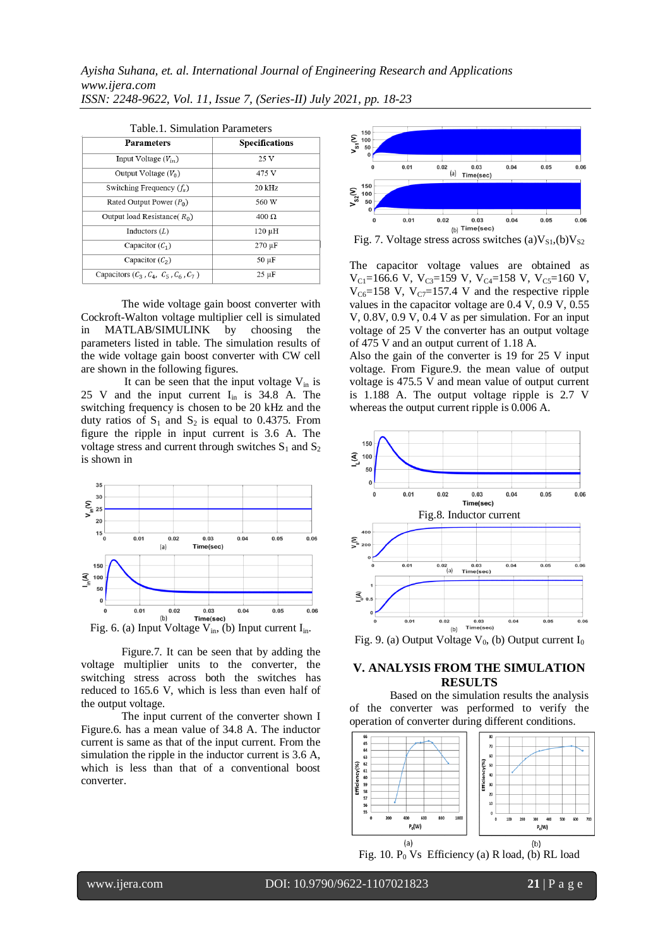*Ayisha Suhana, et. al. International Journal of Engineering Research and Applications www.ijera.com ISSN: 2248-9622, Vol. 11, Issue 7, (Series-II) July 2021, pp. 18-23*

| Table.1. Simulation Parameters         |                       |
|----------------------------------------|-----------------------|
| <b>Parameters</b>                      | <b>Specifications</b> |
| Input Voltage $(V_{in})$               | 25 V                  |
| Output Voltage $(V_0)$                 | 475 V                 |
| Switching Frequency $(f_s)$            | $20$ kHz              |
| Rated Output Power $(P_0)$             | 560 W                 |
| Output load Resistance( $R_0$ )        | $400 \Omega$          |
| Inductors $(L)$                        | $120 \mu H$           |
| Capacitor $(C_1)$                      | 270 µF                |
| Capacitor $(C_2)$                      | $50 \mu F$            |
| Capacitors $(C_3, C_4, C_5, C_6, C_7)$ | $25 \mu F$            |

The wide voltage gain boost converter with Cockroft-Walton voltage multiplier cell is simulated in MATLAB/SIMULINK by choosing the parameters listed in table. The simulation results of the wide voltage gain boost converter with CW cell are shown in the following figures.

It can be seen that the input voltage  $V_{in}$  is 25 V and the input current  $I_{in}$  is 34.8 A. The switching frequency is chosen to be 20 kHz and the duty ratios of  $S_1$  and  $S_2$  is equal to 0.4375. From figure the ripple in input current is 3.6 A. The voltage stress and current through switches  $S_1$  and  $S_2$ is shown in



Figure.7. It can be seen that by adding the voltage multiplier units to the converter, the switching stress across both the switches has reduced to 165.6 V, which is less than even half of the output voltage.

The input current of the converter shown I Figure.6. has a mean value of 34.8 A. The inductor current is same as that of the input current. From the simulation the ripple in the inductor current is 3.6 A, which is less than that of a conventional boost converter.



Fig. 7. Voltage stress across switches (a) $V_{S1}$ ,(b) $V_{S2}$ 

The capacitor voltage values are obtained as  $V_{C1}=166.6$  V,  $V_{C3}=159$  V,  $V_{C4}=158$  V,  $V_{C5}=160$  V,  $V_{C6}=158$  V,  $V_{C7}=157.4$  V and the respective ripple values in the capacitor voltage are  $0.4 \text{ V}$ ,  $0.9 \text{ V}$ ,  $0.55$ V, 0.8V, 0.9 V, 0.4 V as per simulation. For an input voltage of 25 V the converter has an output voltage of 475 V and an output current of 1.18 A.

Also the gain of the converter is 19 for 25 V input voltage. From Figure.9. the mean value of output voltage is 475.5 V and mean value of output current is 1.188 A. The output voltage ripple is 2.7 V whereas the output current ripple is 0.006 A.



Fig. 9. (a) Output Voltage  $V_0$ , (b) Output current  $I_0$ 

# **V. ANALYSIS FROM THE SIMULATION RESULTS**

Based on the simulation results the analysis of the converter was performed to verify the operation of converter during different conditions.



www.ijera.com DOI: 10.9790/9622-1107021823 **21** | P a g e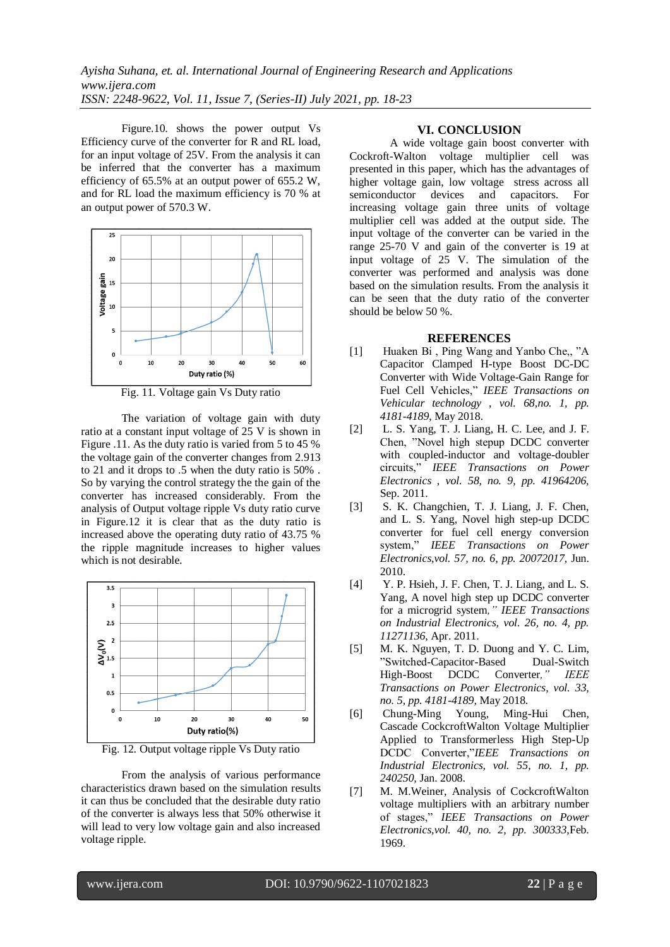Figure.10. shows the power output Vs Efficiency curve of the converter for R and RL load, for an input voltage of 25V. From the analysis it can be inferred that the converter has a maximum efficiency of 65.5% at an output power of 655.2 W, and for RL load the maximum efficiency is 70 % at an output power of 570.3 W.



Fig. 11. Voltage gain Vs Duty ratio

The variation of voltage gain with duty ratio at a constant input voltage of 25 V is shown in Figure .11. As the duty ratio is varied from 5 to 45 % the voltage gain of the converter changes from 2.913 to 21 and it drops to .5 when the duty ratio is 50% . So by varying the control strategy the the gain of the converter has increased considerably. From the analysis of Output voltage ripple Vs duty ratio curve in Figure.12 it is clear that as the duty ratio is increased above the operating duty ratio of 43.75 % the ripple magnitude increases to higher values which is not desirable.



Fig. 12. Output voltage ripple Vs Duty ratio

From the analysis of various performance characteristics drawn based on the simulation results it can thus be concluded that the desirable duty ratio of the converter is always less that 50% otherwise it will lead to very low voltage gain and also increased voltage ripple.

## **VI. CONCLUSION**

A wide voltage gain boost converter with Cockroft-Walton voltage multiplier cell was presented in this paper, which has the advantages of higher voltage gain, low voltage stress across all semiconductor devices and capacitors. For increasing voltage gain three units of voltage multiplier cell was added at the output side. The input voltage of the converter can be varied in the range 25-70 V and gain of the converter is 19 at input voltage of 25 V. The simulation of the converter was performed and analysis was done based on the simulation results. From the analysis it can be seen that the duty ratio of the converter should be below 50 %.

# **REFERENCES**

- [1] Huaken Bi , Ping Wang and Yanbo Che,, "A Capacitor Clamped H-type Boost DC-DC Converter with Wide Voltage-Gain Range for Fuel Cell Vehicles," *IEEE Transactions on Vehicular technology , vol. 68,no. 1, pp. 4181-4189,* May 2018.
- [2] L. S. Yang, T. J. Liang, H. C. Lee, and J. F. Chen, "Novel high stepup DCDC converter with coupled-inductor and voltage-doubler circuits," *IEEE Transactions on Power Electronics , vol. 58, no. 9, pp. 41964206,* Sep. 2011.
- [3] S. K. Changchien, T. J. Liang, J. F. Chen, and L. S. Yang, Novel high step-up DCDC converter for fuel cell energy conversion system," *IEEE Transactions on Power Electronics,vol. 57, no. 6, pp. 20072017,* Jun. 2010.
- [4] Y. P. Hsieh, J. F. Chen, T. J. Liang, and L. S. Yang, A novel high step up DCDC converter for a microgrid system*," IEEE Transactions on Industrial Electronics, vol. 26, no. 4, pp. 11271136,* Apr. 2011.
- [5] M. K. Nguyen, T. D. Duong and Y. C. Lim, "Switched-Capacitor-Based Dual-Switch High-Boost DCDC Converter*," IEEE Transactions on Power Electronics, vol. 33, no. 5, pp. 4181-4189,* May 2018.
- [6] Chung-Ming Young, Ming-Hui Chen, Cascade CockcroftWalton Voltage Multiplier Applied to Transformerless High Step-Up DCDC Converter,"*IEEE Transactions on Industrial Electronics, vol. 55, no. 1, pp. 240250,* Jan. 2008.
- [7] M. M.Weiner, Analysis of CockcroftWalton voltage multipliers with an arbitrary number of stages," *IEEE Transactions on Power Electronics,vol. 40, no. 2, pp. 300333*,Feb. 1969.